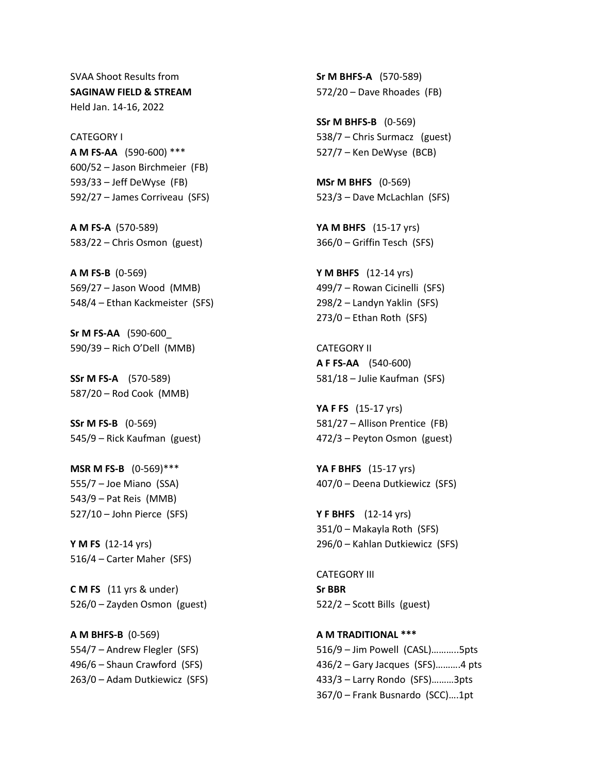SVAA Shoot Results from **SAGINAW FIELD & STREAM** Held Jan. 14-16, 2022

CATEGORY I **A M FS-AA** (590-600) \*\*\* 600/52 – Jason Birchmeier (FB) 593/33 – Jeff DeWyse (FB) 592/27 – James Corriveau (SFS)

**A M FS-A** (570-589) 583/22 – Chris Osmon (guest)

**A M FS-B** (0-569) 569/27 – Jason Wood (MMB) 548/4 – Ethan Kackmeister (SFS)

**Sr M FS-AA** (590-600\_ 590/39 – Rich O'Dell (MMB)

**SSr M FS-A** (570-589) 587/20 – Rod Cook (MMB)

**SSr M FS-B** (0-569) 545/9 – Rick Kaufman (guest)

**MSR M FS-B** (0-569)\*\*\* 555/7 – Joe Miano (SSA) 543/9 – Pat Reis (MMB) 527/10 – John Pierce (SFS)

**Y M FS** (12-14 yrs) 516/4 – Carter Maher (SFS)

**C M FS** (11 yrs & under) 526/0 – Zayden Osmon (guest)

**A M BHFS-B** (0-569) 554/7 – Andrew Flegler (SFS) 496/6 – Shaun Crawford (SFS) 263/0 – Adam Dutkiewicz (SFS)

**Sr M BHFS-A** (570-589) 572/20 – Dave Rhoades (FB)

**SSr M BHFS-B** (0-569) 538/7 – Chris Surmacz (guest) 527/7 – Ken DeWyse (BCB)

**MSr M BHFS** (0-569) 523/3 – Dave McLachlan (SFS)

**YA M BHFS** (15-17 yrs) 366/0 – Griffin Tesch (SFS)

**Y M BHFS** (12-14 yrs) 499/7 – Rowan Cicinelli (SFS) 298/2 – Landyn Yaklin (SFS) 273/0 – Ethan Roth (SFS)

CATEGORY II **A F FS-AA** (540-600) 581/18 – Julie Kaufman (SFS)

**YA F FS** (15-17 yrs) 581/27 – Allison Prentice (FB) 472/3 – Peyton Osmon (guest)

**YA F BHFS** (15-17 yrs) 407/0 – Deena Dutkiewicz (SFS)

**Y F BHFS** (12-14 yrs) 351/0 – Makayla Roth (SFS) 296/0 – Kahlan Dutkiewicz (SFS)

CATEGORY III **Sr BBR** 522/2 – Scott Bills (guest)

**A M TRADITIONAL \*\*\*** 516/9 – Jim Powell (CASL)………..5pts 436/2 – Gary Jacques (SFS)……….4 pts 433/3 – Larry Rondo (SFS)………3pts 367/0 – Frank Busnardo (SCC)….1pt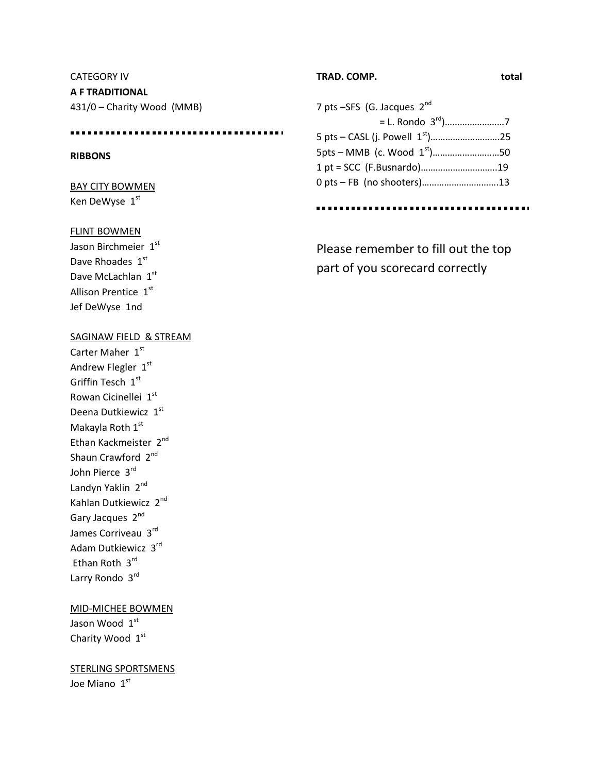CATEGORY IV **A F TRADITIONAL** 431/0 – Charity Wood (MMB)

## **RIBBONS**

BAY CITY BOWMEN Ken DeWyse 1st

## FLINT BOWMEN

Jason Birchmeier 1st Dave Rhoades 1st Dave McLachlan 1st Allison Prentice 1st Jef DeWyse 1nd

### SAGINAW FIELD & STREAM

Carter Maher 1st Andrew Flegler  $1<sup>st</sup>$ Griffin Tesch 1st Rowan Cicinellei 1st Deena Dutkiewicz 1st Makayla Roth 1st Ethan Kackmeister 2<sup>nd</sup> Shaun Crawford 2<sup>nd</sup> John Pierce 3rd Landyn Yaklin 2<sup>nd</sup> Kahlan Dutkiewicz 2nd Gary Jacques 2nd James Corriveau 3rd Adam Dutkiewicz 3rd Ethan Roth 3rd Larry Rondo 3rd

## MID-MICHEE BOWMEN

Jason Wood 1st Charity Wood 1st

## STERLING SPORTSMENS Joe Miano 1st

**TRAD. COMP. total**

7 pts -SFS (G. Jacques 2<sup>nd</sup> = L. Rondo 3rd)……………………7 5 pts – CASL (j. Powell 1st)……………………….25  $5pts - MMB$  (c. Wood  $1<sup>st</sup>$ )...............................50 1 pt = SCC (F.Busnardo)………………………….19 0 pts – FB (no shooters)………………………….13

Please remember to fill out the top part of you scorecard correctly